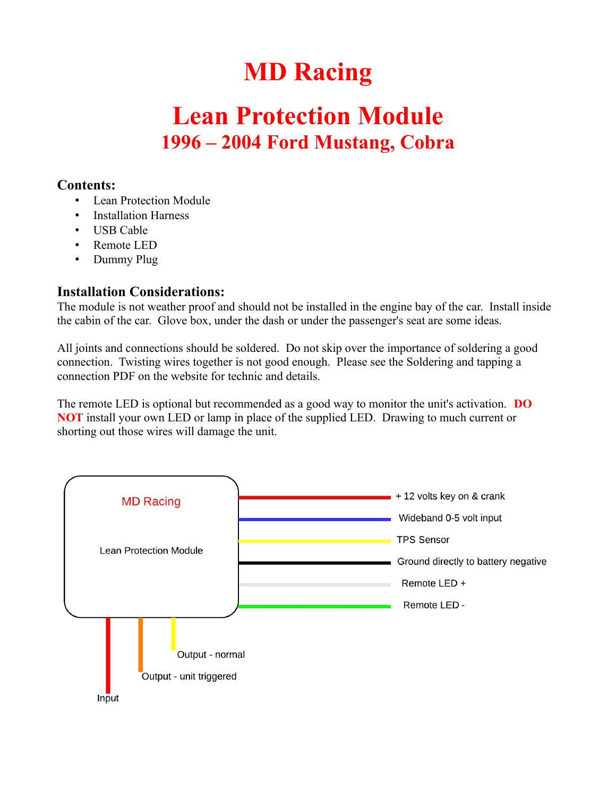## **MD Racing**

## **Lean Protection Module 1996 – 2004 Ford Mustang, Cobra**

## **Contents:**

- Lean Protection Module
- Installation Harness
- USB Cable
- Remote LED
- Dummy Plug

## **Installation Considerations:**

The module is not weather proof and should not be installed in the engine bay of the car. Install inside the cabin of the car. Glove box, under the dash or under the passenger's seat are some ideas.

All joints and connections should be soldered. Do not skip over the importance of soldering a good connection. Twisting wires together is not good enough. Please see the Soldering and tapping a connection PDF on the website for technic and details.

The remote LED is optional but recommended as a good way to monitor the unit's activation. **DO NOT** install your own LED or lamp in place of the supplied LED. Drawing to much current or shorting out those wires will damage the unit.

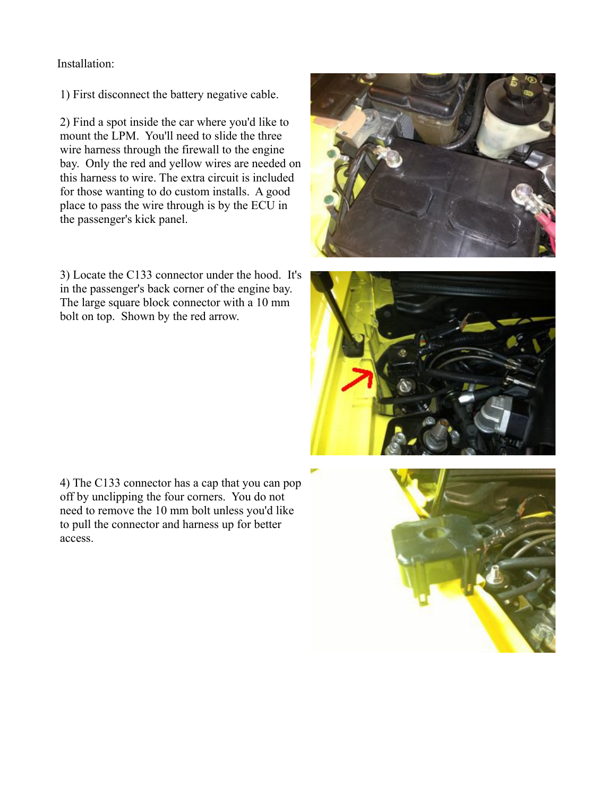Installation:

1) First disconnect the battery negative cable.

2) Find a spot inside the car where you'd like to mount the LPM. You'll need to slide the three wire harness through the firewall to the engine bay. Only the red and yellow wires are needed on this harness to wire. The extra circuit is included for those wanting to do custom installs. A good place to pass the wire through is by the ECU in the passenger's kick panel.

3) Locate the C133 connector under the hood. It's in the passenger's back corner of the engine bay. The large square block connector with a 10 mm bolt on top. Shown by the red arrow.





4) The C133 connector has a cap that you can pop off by unclipping the four corners. You do not need to remove the 10 mm bolt unless you'd like to pull the connector and harness up for better access.

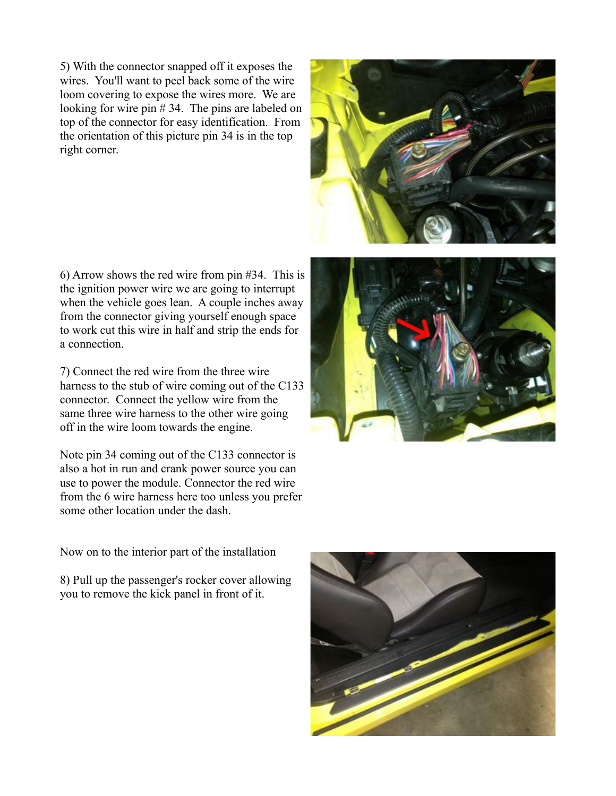5) With the connector snapped off it exposes the wires. You'll want to peel back some of the wire loom covering to expose the wires more. We are looking for wire pin # 34. The pins are labeled on top of the connector for easy identification. From the orientation of this picture pin 34 is in the top right corner.

6) Arrow shows the red wire from pin #34. This is the ignition power wire we are going to interrupt when the vehicle goes lean. A couple inches away from the connector giving yourself enough space to work cut this wire in half and strip the ends for a connection.

7) Connect the red wire from the three wire harness to the stub of wire coming out of the C133 connector. Connect the yellow wire from the same three wire harness to the other wire going off in the wire loom towards the engine.

Note pin 34 coming out of the C133 connector is also a hot in run and crank power source you can use to power the module. Connector the red wire from the 6 wire harness here too unless you prefer some other location under the dash.





Now on to the interior part of the installation

8) Pull up the passenger's rocker cover allowing you to remove the kick panel in front of it.

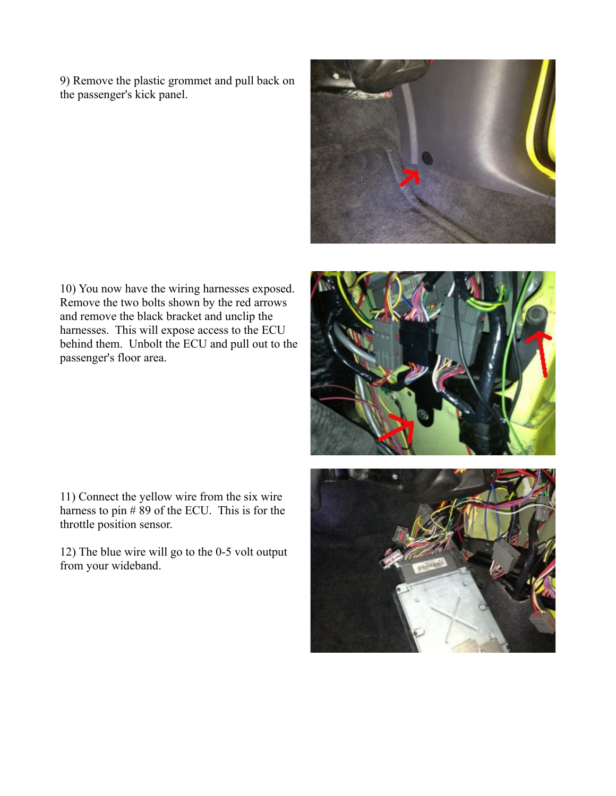9) Remove the plastic grommet and pull back on the passenger's kick panel.



10) You now have the wiring harnesses exposed. Remove the two bolts shown by the red arrows and remove the black bracket and unclip the harnesses. This will expose access to the ECU behind them. Unbolt the ECU and pull out to the passenger's floor area.

11) Connect the yellow wire from the six wire harness to pin  $\#89$  of the ECU. This is for the throttle position sensor.

12) The blue wire will go to the 0-5 volt output from your wideband.



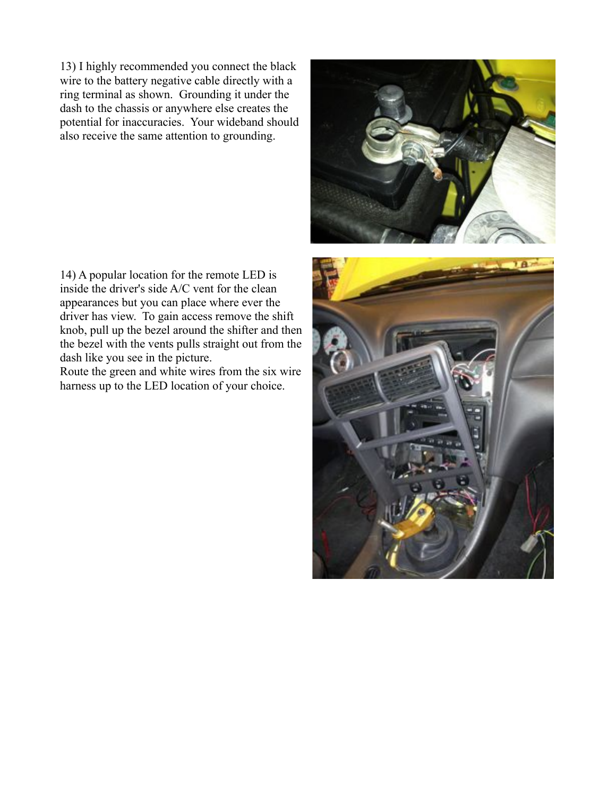13) I highly recommended you connect the black wire to the battery negative cable directly with a ring terminal as shown. Grounding it under the dash to the chassis or anywhere else creates the potential for inaccuracies. Your wideband should also receive the same attention to grounding.

14) A popular location for the remote LED is inside the driver's side A/C vent for the clean appearances but you can place where ever the driver has view. To gain access remove the shift knob, pull up the bezel around the shifter and then the bezel with the vents pulls straight out from the dash like you see in the picture.

Route the green and white wires from the six wire harness up to the LED location of your choice.